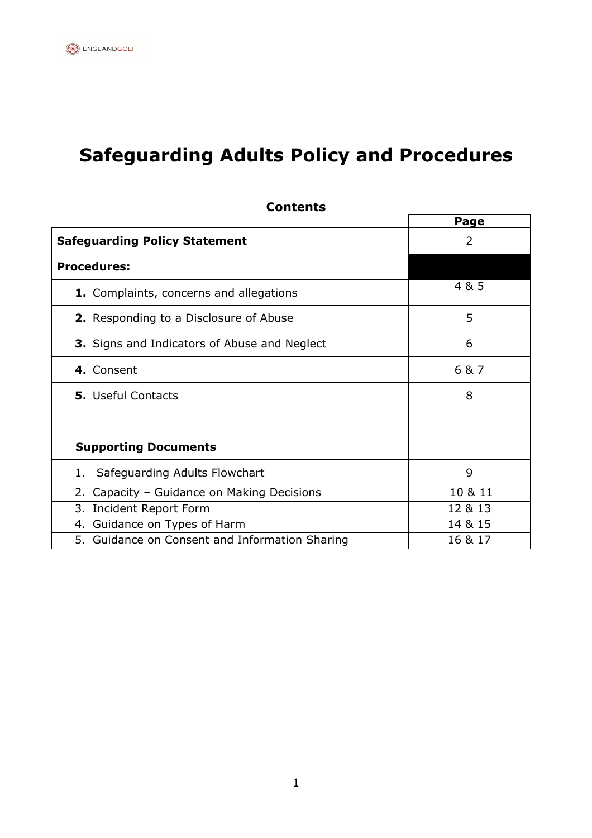# **Safeguarding Adults Policy and Procedures**

|                                                     | Page          |
|-----------------------------------------------------|---------------|
| <b>Safeguarding Policy Statement</b>                | $\mathcal{P}$ |
| <b>Procedures:</b>                                  |               |
| 1. Complaints, concerns and allegations             | 4 & 5         |
| <b>2.</b> Responding to a Disclosure of Abuse       | 5             |
| <b>3.</b> Signs and Indicators of Abuse and Neglect | 6             |
| 4. Consent                                          | 6 & 7         |
| <b>5.</b> Useful Contacts                           | 8             |
|                                                     |               |
| <b>Supporting Documents</b>                         |               |
| Safeguarding Adults Flowchart<br>1.                 | 9             |
| 2.<br>Capacity - Guidance on Making Decisions       | 10 & 11       |
| 3. Incident Report Form                             | 12 & 13       |
| 4. Guidance on Types of Harm                        | 14 & 15       |
| 5. Guidance on Consent and Information Sharing      | 16 & 17       |

**Contents**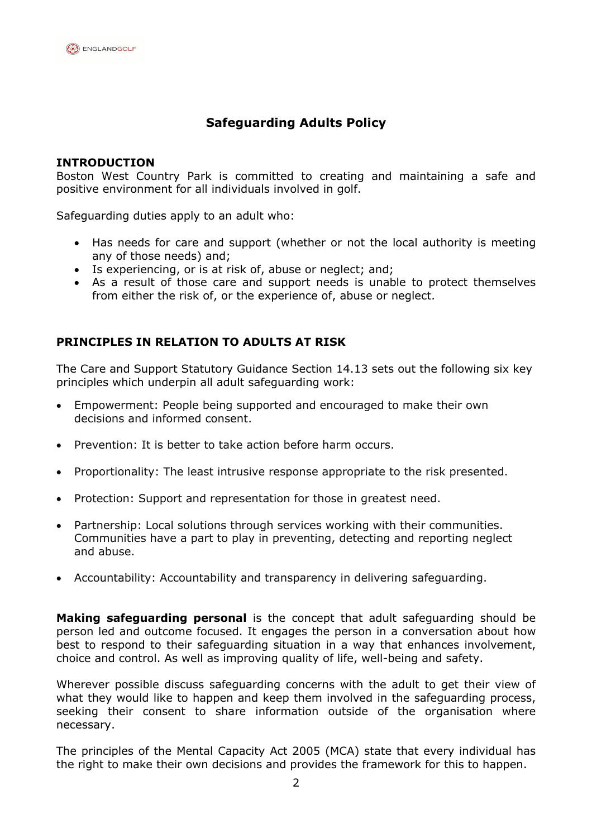# **Safeguarding Adults Policy**

#### **INTRODUCTION**

Boston West Country Park is committed to creating and maintaining a safe and positive environment for all individuals involved in golf.

Safeguarding duties apply to an adult who:

- Has needs for care and support (whether or not the local authority is meeting any of those needs) and;
- Is experiencing, or is at risk of, abuse or neglect; and;
- As a result of those care and support needs is unable to protect themselves from either the risk of, or the experience of, abuse or neglect.

#### **PRINCIPLES IN RELATION TO ADULTS AT RISK**

The Care and Support Statutory Guidance Section 14.13 sets out the following six key principles which underpin all adult safeguarding work:

- Empowerment: People being supported and encouraged to make their own decisions and informed consent.
- Prevention: It is better to take action before harm occurs.
- Proportionality: The least intrusive response appropriate to the risk presented.
- Protection: Support and representation for those in greatest need.
- Partnership: Local solutions through services working with their communities. Communities have a part to play in preventing, detecting and reporting neglect and abuse.
- Accountability: Accountability and transparency in delivering safeguarding.

**Making safeguarding personal** is the concept that adult safeguarding should be person led and outcome focused. It engages the person in a conversation about how best to respond to their safeguarding situation in a way that enhances involvement, choice and control. As well as improving quality of life, well-being and safety.

Wherever possible discuss safeguarding concerns with the adult to get their view of what they would like to happen and keep them involved in the safeguarding process, seeking their consent to share information outside of the organisation where necessary.

The principles of the Mental Capacity Act 2005 (MCA) state that every individual has the right to make their own decisions and provides the framework for this to happen.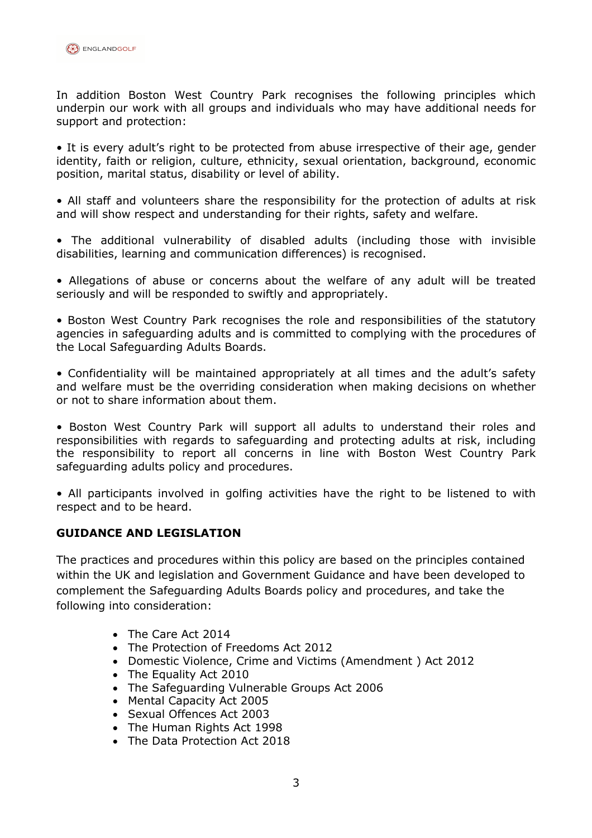

In addition Boston West Country Park recognises the following principles which underpin our work with all groups and individuals who may have additional needs for support and protection:

• It is every adult's right to be protected from abuse irrespective of their age, gender identity, faith or religion, culture, ethnicity, sexual orientation, background, economic position, marital status, disability or level of ability.

• All staff and volunteers share the responsibility for the protection of adults at risk and will show respect and understanding for their rights, safety and welfare.

• The additional vulnerability of disabled adults (including those with invisible disabilities, learning and communication differences) is recognised.

• Allegations of abuse or concerns about the welfare of any adult will be treated seriously and will be responded to swiftly and appropriately.

• Boston West Country Park recognises the role and responsibilities of the statutory agencies in safeguarding adults and is committed to complying with the procedures of the Local Safeguarding Adults Boards.

• Confidentiality will be maintained appropriately at all times and the adult's safety and welfare must be the overriding consideration when making decisions on whether or not to share information about them.

• Boston West Country Park will support all adults to understand their roles and responsibilities with regards to safeguarding and protecting adults at risk, including the responsibility to report all concerns in line with Boston West Country Park safeguarding adults policy and procedures.

• All participants involved in golfing activities have the right to be listened to with respect and to be heard.

#### **GUIDANCE AND LEGISLATION**

The practices and procedures within this policy are based on the principles contained within the UK and legislation and Government Guidance and have been developed to complement the Safeguarding Adults Boards policy and procedures, and take the following into consideration:

- The Care Act 2014
- The Protection of Freedoms Act 2012
- Domestic Violence, Crime and Victims (Amendment ) Act 2012
- The Equality Act 2010
- The Safeguarding Vulnerable Groups Act 2006
- Mental Capacity Act 2005
- Sexual Offences Act 2003
- The Human Rights Act 1998
- The Data Protection Act 2018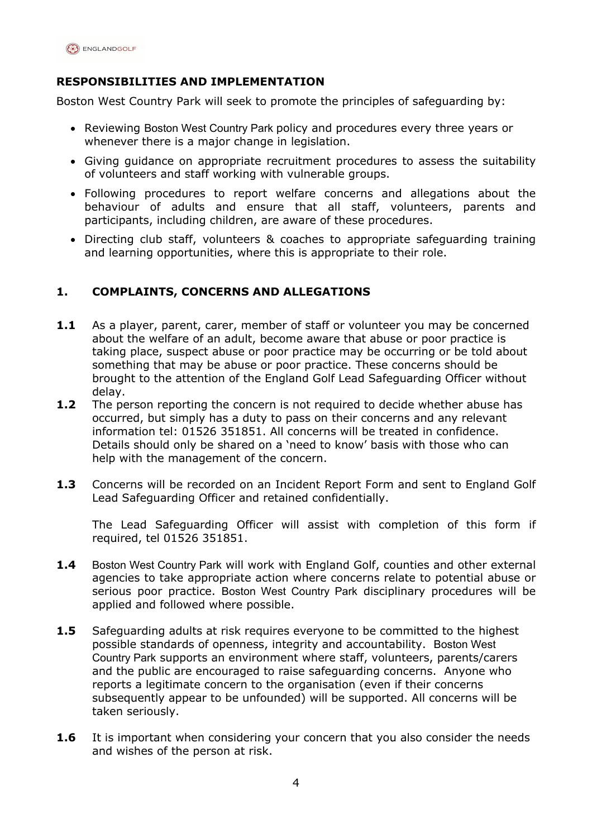

# **RESPONSIBILITIES AND IMPLEMENTATION**

Boston West Country Park will seek to promote the principles of safeguarding by:

- Reviewing Boston West Country Park policy and procedures every three years or whenever there is a major change in legislation.
- Giving guidance on appropriate recruitment procedures to assess the suitability of volunteers and staff working with vulnerable groups.
- Following procedures to report welfare concerns and allegations about the behaviour of adults and ensure that all staff, volunteers, parents and participants, including children, are aware of these procedures.
- Directing club staff, volunteers & coaches to appropriate safeguarding training and learning opportunities, where this is appropriate to their role.

### **1. COMPLAINTS, CONCERNS AND ALLEGATIONS**

- **1.1** As a player, parent, carer, member of staff or volunteer you may be concerned about the welfare of an adult, become aware that abuse or poor practice is taking place, suspect abuse or poor practice may be occurring or be told about something that may be abuse or poor practice. These concerns should be brought to the attention of the England Golf Lead Safeguarding Officer without delay.
- **1.2** The person reporting the concern is not required to decide whether abuse has occurred, but simply has a duty to pass on their concerns and any relevant information tel: 01526 351851. All concerns will be treated in confidence. Details should only be shared on a 'need to know' basis with those who can help with the management of the concern.
- **1.3** Concerns will be recorded on an Incident Report Form and sent to England Golf Lead Safeguarding Officer and retained confidentially.

The Lead Safeguarding Officer will assist with completion of this form if required, tel 01526 351851.

- **1.4** Boston West Country Park will work with England Golf, counties and other external agencies to take appropriate action where concerns relate to potential abuse or serious poor practice. Boston West Country Park disciplinary procedures will be applied and followed where possible.
- **1.5** Safeguarding adults at risk requires everyone to be committed to the highest possible standards of openness, integrity and accountability. Boston West Country Park supports an environment where staff, volunteers, parents/carers and the public are encouraged to raise safeguarding concerns. Anyone who reports a legitimate concern to the organisation (even if their concerns subsequently appear to be unfounded) will be supported. All concerns will be taken seriously.
- **1.6** It is important when considering your concern that you also consider the needs and wishes of the person at risk.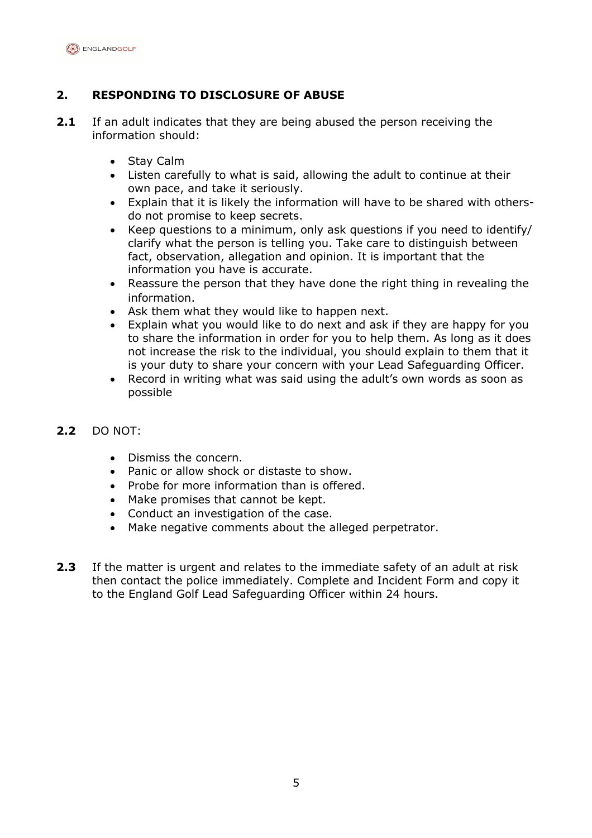

# **2. RESPONDING TO DISCLOSURE OF ABUSE**

- **2.1** If an adult indicates that they are being abused the person receiving the information should:
	- Stay Calm
	- Listen carefully to what is said, allowing the adult to continue at their own pace, and take it seriously.
	- Explain that it is likely the information will have to be shared with othersdo not promise to keep secrets.
	- Keep questions to a minimum, only ask questions if you need to identify/ clarify what the person is telling you. Take care to distinguish between fact, observation, allegation and opinion. It is important that the information you have is accurate.
	- Reassure the person that they have done the right thing in revealing the information.
	- Ask them what they would like to happen next.
	- Explain what you would like to do next and ask if they are happy for you to share the information in order for you to help them. As long as it does not increase the risk to the individual, you should explain to them that it is your duty to share your concern with your Lead Safeguarding Officer.
	- Record in writing what was said using the adult's own words as soon as possible

#### **2.2** DO NOT:

- Dismiss the concern.
- Panic or allow shock or distaste to show.
- Probe for more information than is offered.
- Make promises that cannot be kept.
- Conduct an investigation of the case.
- Make negative comments about the alleged perpetrator.
- **2.3** If the matter is urgent and relates to the immediate safety of an adult at risk then contact the police immediately. Complete and Incident Form and copy it to the England Golf Lead Safeguarding Officer within 24 hours.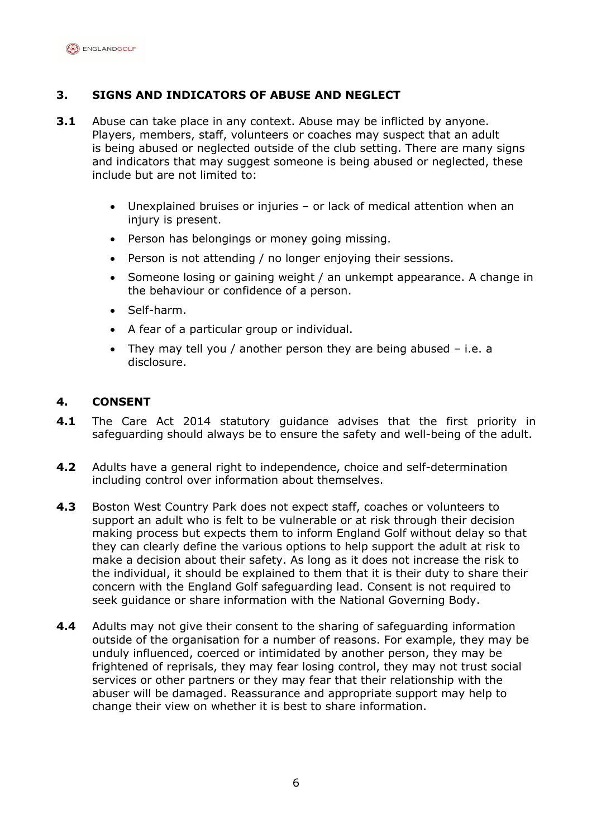

# **3. SIGNS AND INDICATORS OF ABUSE AND NEGLECT**

- **3.1** Abuse can take place in any context. Abuse may be inflicted by anyone. Players, members, staff, volunteers or coaches may suspect that an adult is being abused or neglected outside of the club setting. There are many signs and indicators that may suggest someone is being abused or neglected, these include but are not limited to:
	- Unexplained bruises or injuries or lack of medical attention when an injury is present.
	- Person has belongings or money going missing.
	- Person is not attending / no longer enjoying their sessions.
	- Someone losing or gaining weight / an unkempt appearance. A change in the behaviour or confidence of a person.
	- Self-harm.
	- A fear of a particular group or individual.
	- They may tell you / another person they are being abused i.e. a disclosure.

### **4. CONSENT**

- **4.1** The Care Act 2014 statutory guidance advises that the first priority in safeguarding should always be to ensure the safety and well-being of the adult.
- **4.2** Adults have a general right to independence, choice and self-determination including control over information about themselves.
- **4.3** Boston West Country Park does not expect staff, coaches or volunteers to support an adult who is felt to be vulnerable or at risk through their decision making process but expects them to inform England Golf without delay so that they can clearly define the various options to help support the adult at risk to make a decision about their safety. As long as it does not increase the risk to the individual, it should be explained to them that it is their duty to share their concern with the England Golf safeguarding lead. Consent is not required to seek guidance or share information with the National Governing Body.
- **4.4** Adults may not give their consent to the sharing of safeguarding information outside of the organisation for a number of reasons. For example, they may be unduly influenced, coerced or intimidated by another person, they may be frightened of reprisals, they may fear losing control, they may not trust social services or other partners or they may fear that their relationship with the abuser will be damaged. Reassurance and appropriate support may help to change their view on whether it is best to share information.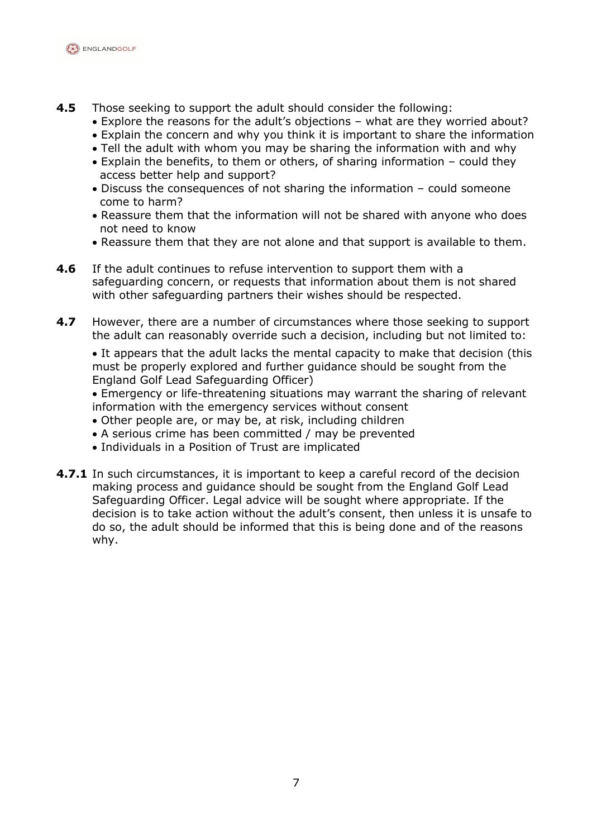

- **4.5** Those seeking to support the adult should consider the following:
	- Explore the reasons for the adult's objections what are they worried about?
	- Explain the concern and why you think it is important to share the information
	- Tell the adult with whom you may be sharing the information with and why
	- Explain the benefits, to them or others, of sharing information could they access better help and support?
	- Discuss the consequences of not sharing the information could someone come to harm?
	- Reassure them that the information will not be shared with anyone who does not need to know
	- Reassure them that they are not alone and that support is available to them.
- **4.6** If the adult continues to refuse intervention to support them with a safeguarding concern, or requests that information about them is not shared with other safeguarding partners their wishes should be respected.
- **4.7** However, there are a number of circumstances where those seeking to support the adult can reasonably override such a decision, including but not limited to:

• It appears that the adult lacks the mental capacity to make that decision (this must be properly explored and further guidance should be sought from the England Golf Lead Safeguarding Officer)

- Emergency or life-threatening situations may warrant the sharing of relevant information with the emergency services without consent
- Other people are, or may be, at risk, including children
- A serious crime has been committed / may be prevented
- Individuals in a Position of Trust are implicated
- **4.7.1** In such circumstances, it is important to keep a careful record of the decision making process and guidance should be sought from the England Golf Lead Safeguarding Officer. Legal advice will be sought where appropriate. If the decision is to take action without the adult's consent, then unless it is unsafe to do so, the adult should be informed that this is being done and of the reasons why.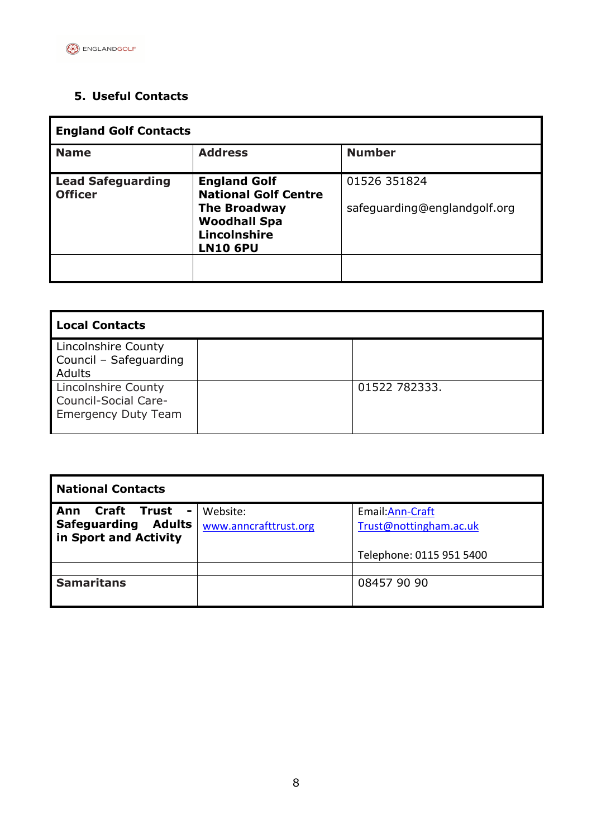# **5. Useful Contacts**

| <b>England Golf Contacts</b>               |                                                                                                                                     |                                              |
|--------------------------------------------|-------------------------------------------------------------------------------------------------------------------------------------|----------------------------------------------|
| <b>Name</b>                                | <b>Address</b>                                                                                                                      | <b>Number</b>                                |
| <b>Lead Safeguarding</b><br><b>Officer</b> | <b>England Golf</b><br><b>National Golf Centre</b><br><b>The Broadway</b><br><b>Woodhall Spa</b><br>Lincolnshire<br><b>LN10 6PU</b> | 01526 351824<br>safeguarding@englandgolf.org |

| <b>Local Contacts</b>                                                     |               |
|---------------------------------------------------------------------------|---------------|
| Lincolnshire County<br>Council - Safeguarding<br>Adults                   |               |
| Lincolnshire County<br>Council-Social Care-<br><b>Emergency Duty Team</b> | 01522 782333. |

| <b>National Contacts</b>                                                                       |                                   |                                            |
|------------------------------------------------------------------------------------------------|-----------------------------------|--------------------------------------------|
| Craft Trust<br>Ann<br>$\blacksquare$<br>Adults<br><b>Safeguarding</b><br>in Sport and Activity | Website:<br>www.anncrafttrust.org | Email: Ann-Craft<br>Trust@nottingham.ac.uk |
|                                                                                                |                                   | Telephone: 0115 951 5400                   |
|                                                                                                |                                   |                                            |
| <b>Samaritans</b>                                                                              |                                   | 08457 90 90                                |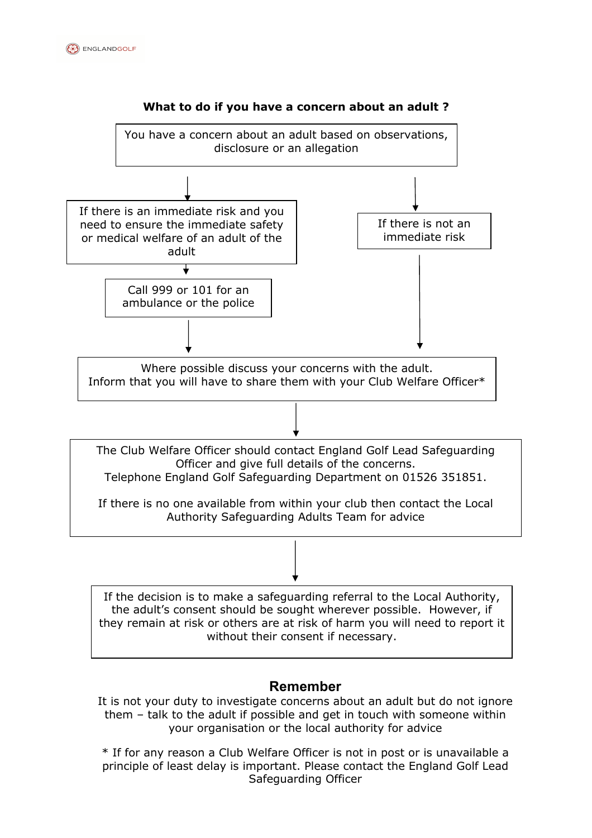



### **Remember**

It is not your duty to investigate concerns about an adult but do not ignore them – talk to the adult if possible and get in touch with someone within your organisation or the local authority for advice

Safeguarding Officer \* If for any reason a Club Welfare Officer is not in post or is unavailable a principle of least delay is important. Please contact the England Golf Lead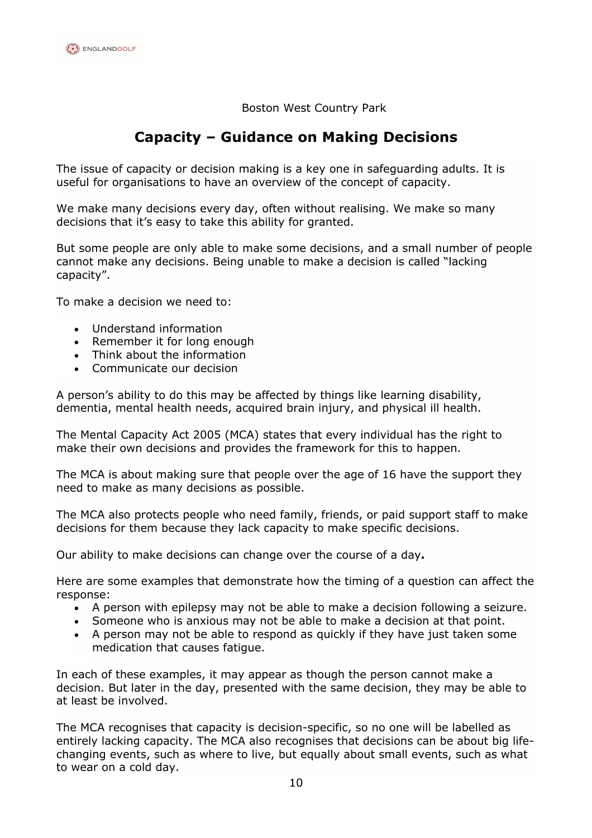Boston West Country Park

# **Capacity – Guidance on Making Decisions**

The issue of capacity or decision making is a key one in safeguarding adults. It is useful for organisations to have an overview of the concept of capacity.

We make many decisions every day, often without realising. We make so many decisions that it's easy to take this ability for granted.

But some people are only able to make some decisions, and a small number of people cannot make any decisions. Being unable to make a decision is called "lacking capacity".

To make a decision we need to:

- Understand information
- Remember it for long enough
- Think about the information
- Communicate our decision

A person's ability to do this may be affected by things like learning disability, dementia, mental health needs, acquired brain injury, and physical ill health.

The Mental Capacity Act 2005 (MCA) states that every individual has the right to make their own decisions and provides the framework for this to happen.

The MCA is about making sure that people over the age of 16 have the support they need to make as many decisions as possible.

The MCA also protects people who need family, friends, or paid support staff to make decisions for them because they lack capacity to make specific decisions.

Our ability to make decisions can change over the course of a day**.**

Here are some examples that demonstrate how the timing of a question can affect the response:

- A person with epilepsy may not be able to make a decision following a seizure.
- Someone who is anxious may not be able to make a decision at that point.
- A person may not be able to respond as quickly if they have just taken some medication that causes fatigue.

In each of these examples, it may appear as though the person cannot make a decision. But later in the day, presented with the same decision, they may be able to at least be involved.

The MCA recognises that capacity is decision-specific, so no one will be labelled as entirely lacking capacity. The MCA also recognises that decisions can be about big lifechanging events, such as where to live, but equally about small events, such as what to wear on a cold day.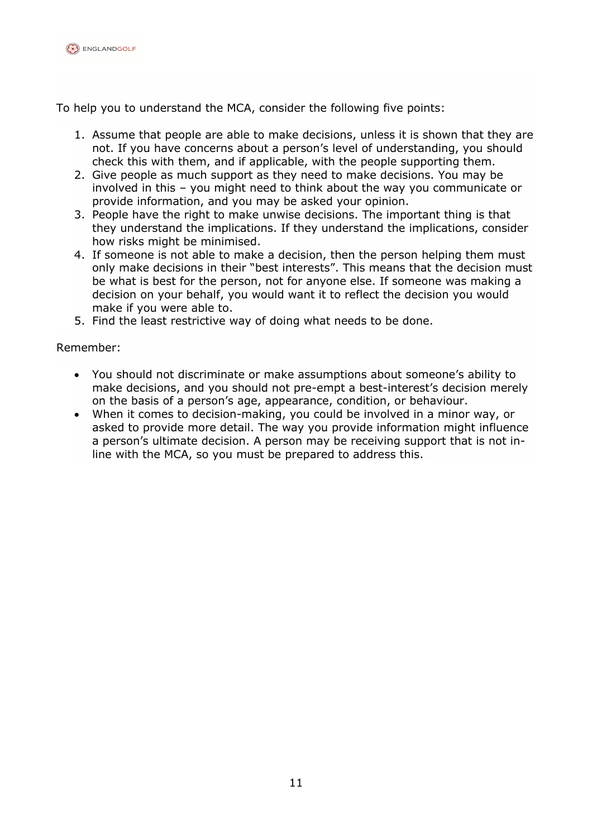

To help you to understand the MCA, consider the following five points:

- 1. Assume that people are able to make decisions, unless it is shown that they are not. If you have concerns about a person's level of understanding, you should check this with them, and if applicable, with the people supporting them.
- 2. Give people as much support as they need to make decisions. You may be involved in this – you might need to think about the way you communicate or provide information, and you may be asked your opinion.
- 3. People have the right to make unwise decisions. The important thing is that they understand the implications. If they understand the implications, consider how risks might be minimised.
- 4. If someone is not able to make a decision, then the person helping them must only make decisions in their "best interests". This means that the decision must be what is best for the person, not for anyone else. If someone was making a decision on your behalf, you would want it to reflect the decision you would make if you were able to.
- 5. Find the least restrictive way of doing what needs to be done.

#### Remember:

- You should not discriminate or make assumptions about someone's ability to make decisions, and you should not pre-empt a best-interest's decision merely on the basis of a person's age, appearance, condition, or behaviour.
- When it comes to decision-making, you could be involved in a minor way, or asked to provide more detail. The way you provide information might influence a person's ultimate decision. A person may be receiving support that is not inline with the MCA, so you must be prepared to address this.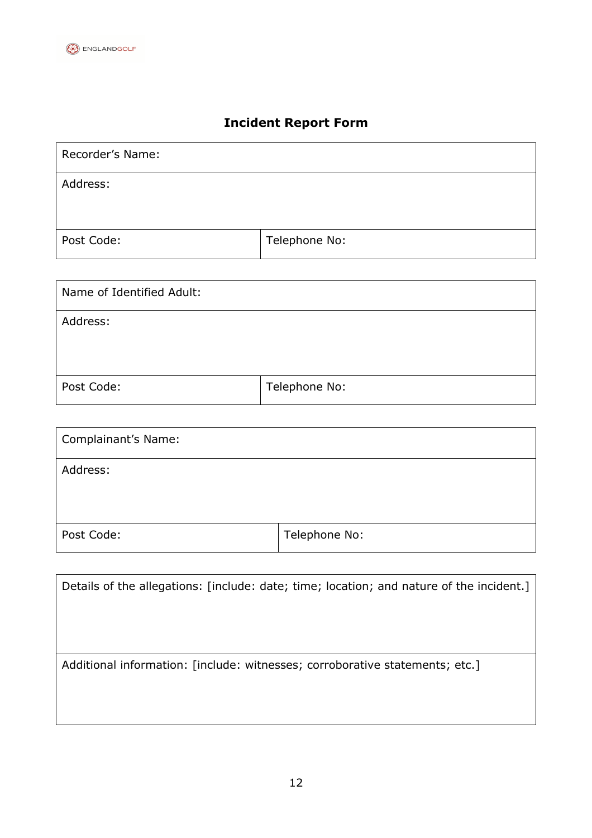# **Incident Report Form**

| Recorder's Name: |               |
|------------------|---------------|
| Address:         |               |
|                  |               |
| Post Code:       | Telephone No: |

| Name of Identified Adult: |               |
|---------------------------|---------------|
| Address:                  |               |
|                           |               |
| Post Code:                | Telephone No: |

| <b>Complainant's Name:</b> |               |
|----------------------------|---------------|
| Address:                   |               |
|                            |               |
| Post Code:                 | Telephone No: |

| Details of the allegations: [include: date; time; location; and nature of the incident.] |
|------------------------------------------------------------------------------------------|
|                                                                                          |
|                                                                                          |
|                                                                                          |
| Additional information: [include: witnesses; corroborative statements; etc.]             |
|                                                                                          |
|                                                                                          |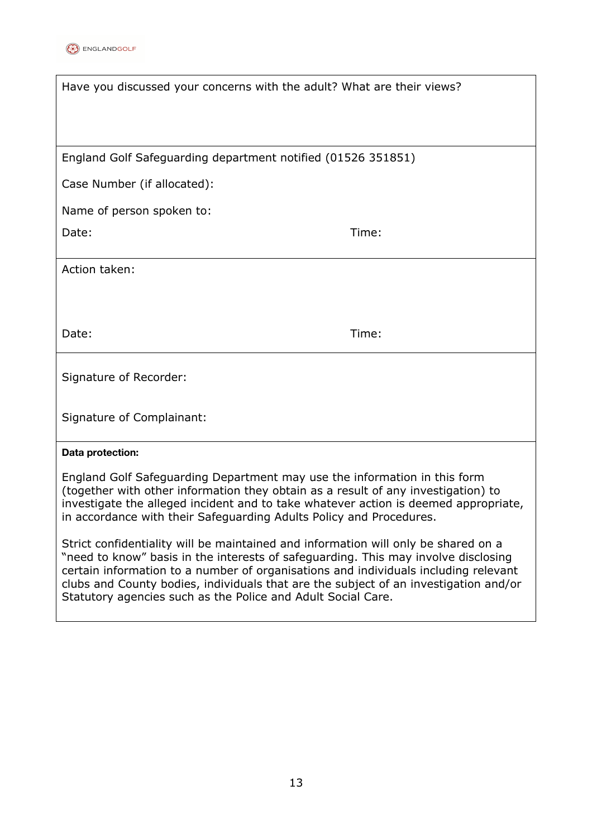

| Have you discussed your concerns with the adult? What are their views?                                                                                                                                                                                                                                                       |       |
|------------------------------------------------------------------------------------------------------------------------------------------------------------------------------------------------------------------------------------------------------------------------------------------------------------------------------|-------|
|                                                                                                                                                                                                                                                                                                                              |       |
| England Golf Safeguarding department notified (01526 351851)                                                                                                                                                                                                                                                                 |       |
| Case Number (if allocated):                                                                                                                                                                                                                                                                                                  |       |
| Name of person spoken to:                                                                                                                                                                                                                                                                                                    |       |
| Date:                                                                                                                                                                                                                                                                                                                        | Time: |
| Action taken:                                                                                                                                                                                                                                                                                                                |       |
|                                                                                                                                                                                                                                                                                                                              |       |
| Date:                                                                                                                                                                                                                                                                                                                        | Time: |
| Signature of Recorder:                                                                                                                                                                                                                                                                                                       |       |
| Signature of Complainant:                                                                                                                                                                                                                                                                                                    |       |
| Data protection:                                                                                                                                                                                                                                                                                                             |       |
| England Golf Safeguarding Department may use the information in this form<br>(together with other information they obtain as a result of any investigation) to<br>investigate the alleged incident and to take whatever action is deemed appropriate,<br>in accordance with their Safeguarding Adults Policy and Procedures. |       |

Strict confidentiality will be maintained and information will only be shared on a "need to know" basis in the interests of safeguarding. This may involve disclosing certain information to a number of organisations and individuals including relevant clubs and County bodies, individuals that are the subject of an investigation and/or Statutory agencies such as the Police and Adult Social Care.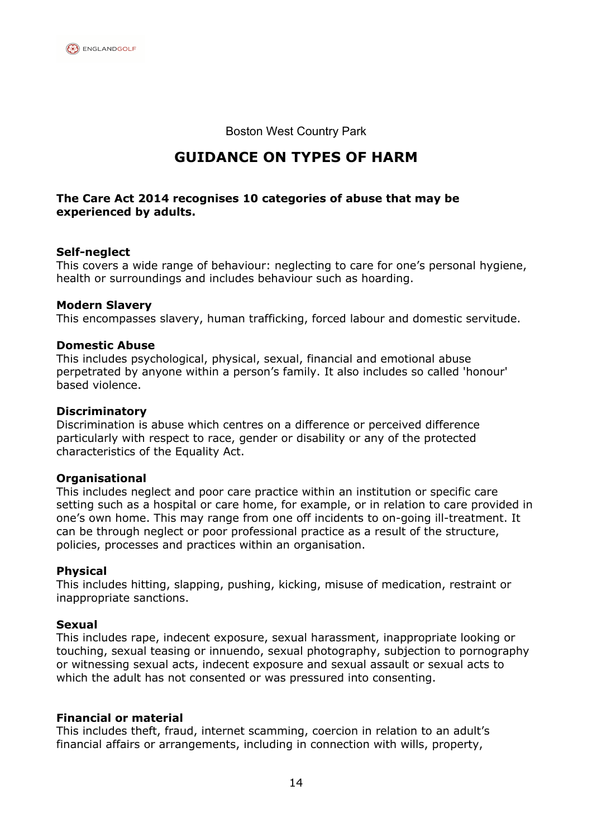

Boston West Country Park

# **GUIDANCE ON TYPES OF HARM**

#### **The Care Act 2014 recognises 10 categories of abuse that may be experienced by adults.**

#### **Self-neglect**

This covers a wide range of behaviour: neglecting to care for one's personal hygiene, health or surroundings and includes behaviour such as hoarding.

#### **Modern Slavery**

This encompasses slavery, human trafficking, forced labour and domestic servitude.

#### **Domestic Abuse**

This includes psychological, physical, sexual, financial and emotional abuse perpetrated by anyone within a person's family. It also includes so called 'honour' based violence.

#### **Discriminatory**

Discrimination is abuse which centres on a difference or perceived difference particularly with respect to race, gender or disability or any of the protected characteristics of the Equality Act.

#### **Organisational**

This includes neglect and poor care practice within an institution or specific care setting such as a hospital or care home, for example, or in relation to care provided in one's own home. This may range from one off incidents to on-going ill-treatment. It can be through neglect or poor professional practice as a result of the structure, policies, processes and practices within an organisation.

#### **Physical**

This includes hitting, slapping, pushing, kicking, misuse of medication, restraint or inappropriate sanctions.

#### **Sexual**

This includes rape, indecent exposure, sexual harassment, inappropriate looking or touching, sexual teasing or innuendo, sexual photography, subjection to pornography or witnessing sexual acts, indecent exposure and sexual assault or sexual acts to which the adult has not consented or was pressured into consenting.

#### **Financial or material**

This includes theft, fraud, internet scamming, coercion in relation to an adult's financial affairs or arrangements, including in connection with wills, property,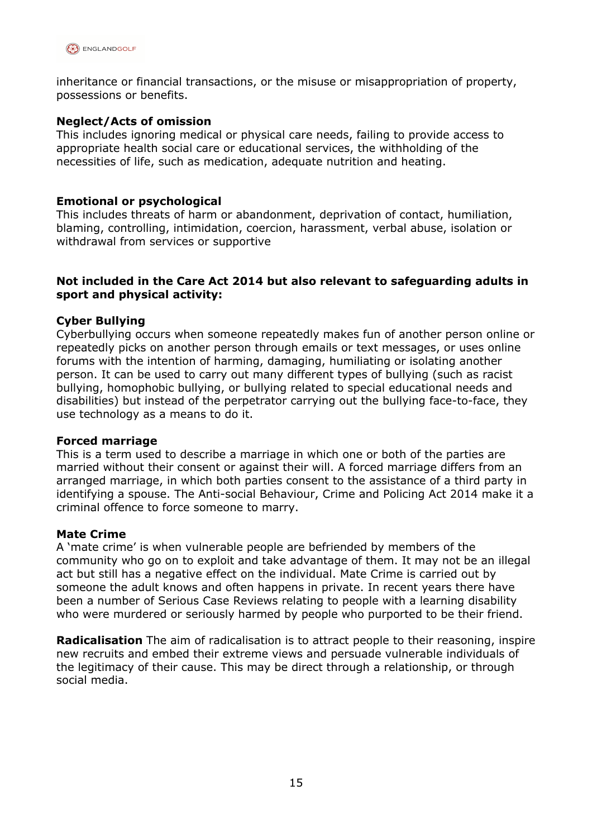

inheritance or financial transactions, or the misuse or misappropriation of property, possessions or benefits.

#### **Neglect/Acts of omission**

This includes ignoring medical or physical care needs, failing to provide access to appropriate health social care or educational services, the withholding of the necessities of life, such as medication, adequate nutrition and heating.

#### **Emotional or psychological**

This includes threats of harm or abandonment, deprivation of contact, humiliation, blaming, controlling, intimidation, coercion, harassment, verbal abuse, isolation or withdrawal from services or supportive

#### **Not included in the Care Act 2014 but also relevant to safeguarding adults in sport and physical activity:**

#### **Cyber Bullying**

Cyberbullying occurs when someone repeatedly makes fun of another person online or repeatedly picks on another person through emails or text messages, or uses online forums with the intention of harming, damaging, humiliating or isolating another person. It can be used to carry out many different types of bullying (such as racist bullying, homophobic bullying, or bullying related to special educational needs and disabilities) but instead of the perpetrator carrying out the bullying face-to-face, they use technology as a means to do it.

#### **Forced marriage**

This is a term used to describe a marriage in which one or both of the parties are married without their consent or against their will. A forced marriage differs from an arranged marriage, in which both parties consent to the assistance of a third party in identifying a spouse. The Anti-social Behaviour, Crime and Policing Act 2014 make it a criminal offence to force someone to marry.

#### **Mate Crime**

A 'mate crime' is when vulnerable people are befriended by members of the community who go on to exploit and take advantage of them. It may not be an illegal act but still has a negative effect on the individual. Mate Crime is carried out by someone the adult knows and often happens in private. In recent years there have been a number of Serious Case Reviews relating to people with a learning disability who were murdered or seriously harmed by people who purported to be their friend.

**Radicalisation** The aim of radicalisation is to attract people to their reasoning, inspire new recruits and embed their extreme views and persuade vulnerable individuals of the legitimacy of their cause. This may be direct through a relationship, or through social media.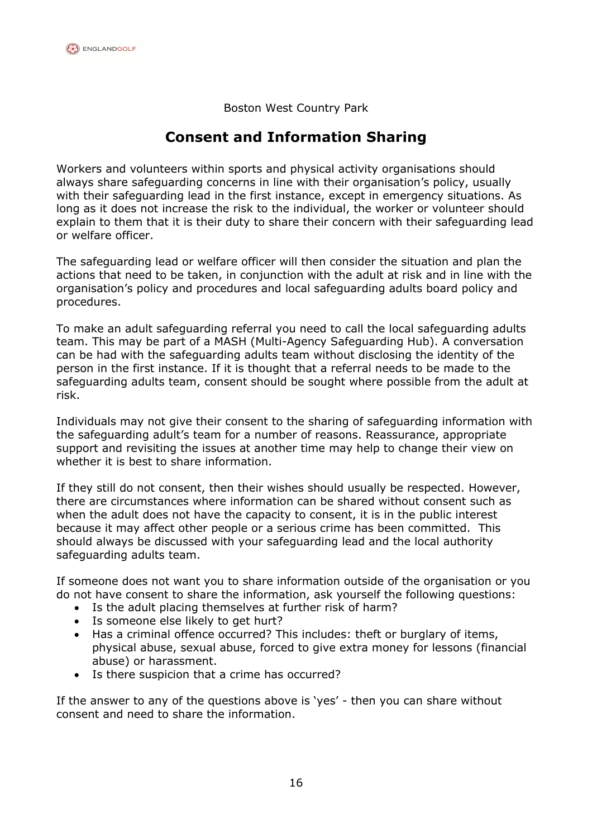Boston West Country Park

# **Consent and Information Sharing**

Workers and volunteers within sports and physical activity organisations should always share safeguarding concerns in line with their organisation's policy, usually with their safeguarding lead in the first instance, except in emergency situations. As long as it does not increase the risk to the individual, the worker or volunteer should explain to them that it is their duty to share their concern with their safeguarding lead or welfare officer.

The safeguarding lead or welfare officer will then consider the situation and plan the actions that need to be taken, in conjunction with the adult at risk and in line with the organisation's policy and procedures and local safeguarding adults board policy and procedures.

To make an adult safeguarding referral you need to call the local safeguarding adults team. This may be part of a MASH (Multi*-*Agency Safeguarding Hub). A conversation can be had with the safeguarding adults team without disclosing the identity of the person in the first instance. If it is thought that a referral needs to be made to the safeguarding adults team, consent should be sought where possible from the adult at risk.

Individuals may not give their consent to the sharing of safeguarding information with the safeguarding adult's team for a number of reasons. Reassurance, appropriate support and revisiting the issues at another time may help to change their view on whether it is best to share information.

If they still do not consent, then their wishes should usually be respected. However, there are circumstances where information can be shared without consent such as when the adult does not have the capacity to consent, it is in the public interest because it may affect other people or a serious crime has been committed. This should always be discussed with your safeguarding lead and the local authority safeguarding adults team.

If someone does not want you to share information outside of the organisation or you do not have consent to share the information, ask yourself the following questions:

- Is the adult placing themselves at further risk of harm?
- Is someone else likely to get hurt?
- Has a criminal offence occurred? This includes: theft or burglary of items, physical abuse, sexual abuse, forced to give extra money for lessons (financial abuse) or harassment.
- Is there suspicion that a crime has occurred?

If the answer to any of the questions above is 'yes' - then you can share without consent and need to share the information.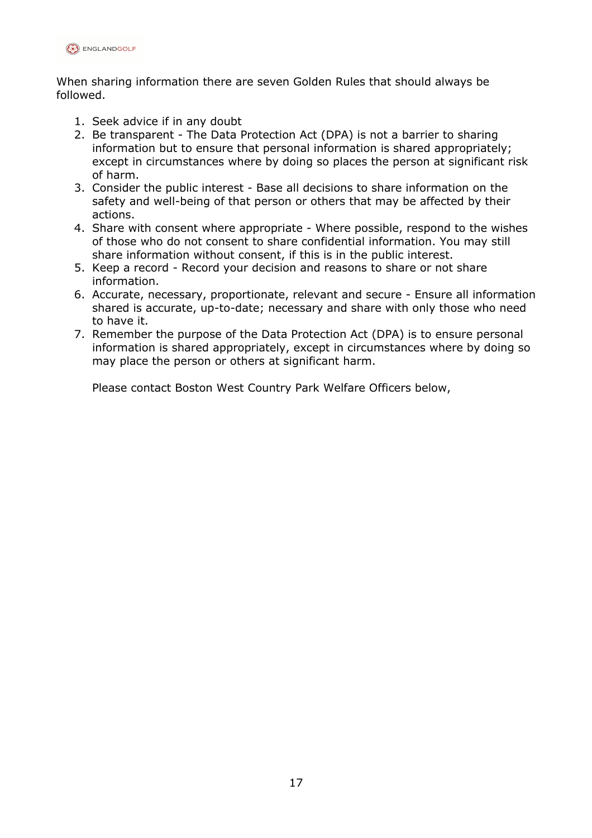

When sharing information there are seven Golden Rules that should always be followed.

- 1. Seek advice if in any doubt
- 2. Be transparent The Data Protection Act (DPA) is not a barrier to sharing information but to ensure that personal information is shared appropriately; except in circumstances where by doing so places the person at significant risk of harm.
- 3. Consider the public interest Base all decisions to share information on the safety and well-being of that person or others that may be affected by their actions.
- 4. Share with consent where appropriate Where possible, respond to the wishes of those who do not consent to share confidential information. You may still share information without consent, if this is in the public interest.
- 5. Keep a record Record your decision and reasons to share or not share information.
- 6. Accurate, necessary, proportionate, relevant and secure Ensure all information shared is accurate, up-to-date; necessary and share with only those who need to have it.
- 7. Remember the purpose of the Data Protection Act (DPA) is to ensure personal information is shared appropriately, except in circumstances where by doing so may place the person or others at significant harm.

Please contact Boston West Country Park Welfare Officers below,